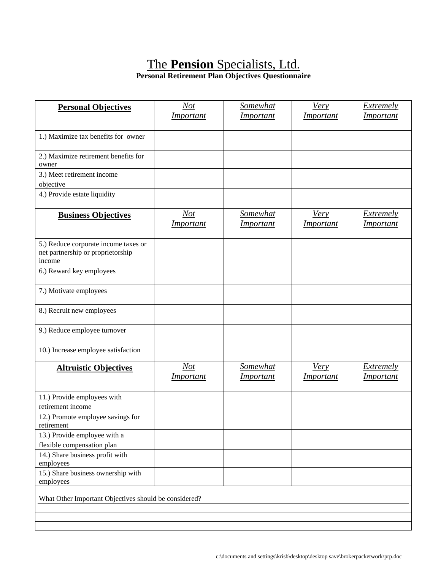## The **Pension** Specialists, Ltd. **Personal Retirement Plan Objectives Questionnaire**

| <b>Personal Objectives</b>                                                          | <b>Not</b><br><i>Important</i> | Somewhat<br><i>Important</i> | Very<br><i>Important</i>        | Extremely<br><i>Important</i>        |  |  |
|-------------------------------------------------------------------------------------|--------------------------------|------------------------------|---------------------------------|--------------------------------------|--|--|
| 1.) Maximize tax benefits for owner                                                 |                                |                              |                                 |                                      |  |  |
| 2.) Maximize retirement benefits for<br>owner                                       |                                |                              |                                 |                                      |  |  |
| 3.) Meet retirement income<br>objective                                             |                                |                              |                                 |                                      |  |  |
| 4.) Provide estate liquidity                                                        |                                |                              |                                 |                                      |  |  |
| <b>Business Objectives</b>                                                          | <b>Not</b><br><i>Important</i> | Somewhat<br><i>Important</i> | <b>Very</b><br><i>Important</i> | <b>Extremely</b><br><i>Important</i> |  |  |
| 5.) Reduce corporate income taxes or<br>net partnership or proprietorship<br>income |                                |                              |                                 |                                      |  |  |
| 6.) Reward key employees                                                            |                                |                              |                                 |                                      |  |  |
| 7.) Motivate employees                                                              |                                |                              |                                 |                                      |  |  |
| 8.) Recruit new employees                                                           |                                |                              |                                 |                                      |  |  |
| 9.) Reduce employee turnover                                                        |                                |                              |                                 |                                      |  |  |
| 10.) Increase employee satisfaction                                                 |                                |                              |                                 |                                      |  |  |
| <b>Altruistic Objectives</b>                                                        | <b>Not</b><br><i>Important</i> | Somewhat<br><i>Important</i> | Very<br><i>Important</i>        | Extremely<br><i>Important</i>        |  |  |
| 11.) Provide employees with<br>retirement income                                    |                                |                              |                                 |                                      |  |  |
| 12.) Promote employee savings for<br>retirement                                     |                                |                              |                                 |                                      |  |  |
| 13.) Provide employee with a<br>flexible compensation plan                          |                                |                              |                                 |                                      |  |  |
| 14.) Share business profit with<br>employees                                        |                                |                              |                                 |                                      |  |  |
| 15.) Share business ownership with<br>employees                                     |                                |                              |                                 |                                      |  |  |
| What Other Important Objectives should be considered?                               |                                |                              |                                 |                                      |  |  |
|                                                                                     |                                |                              |                                 |                                      |  |  |